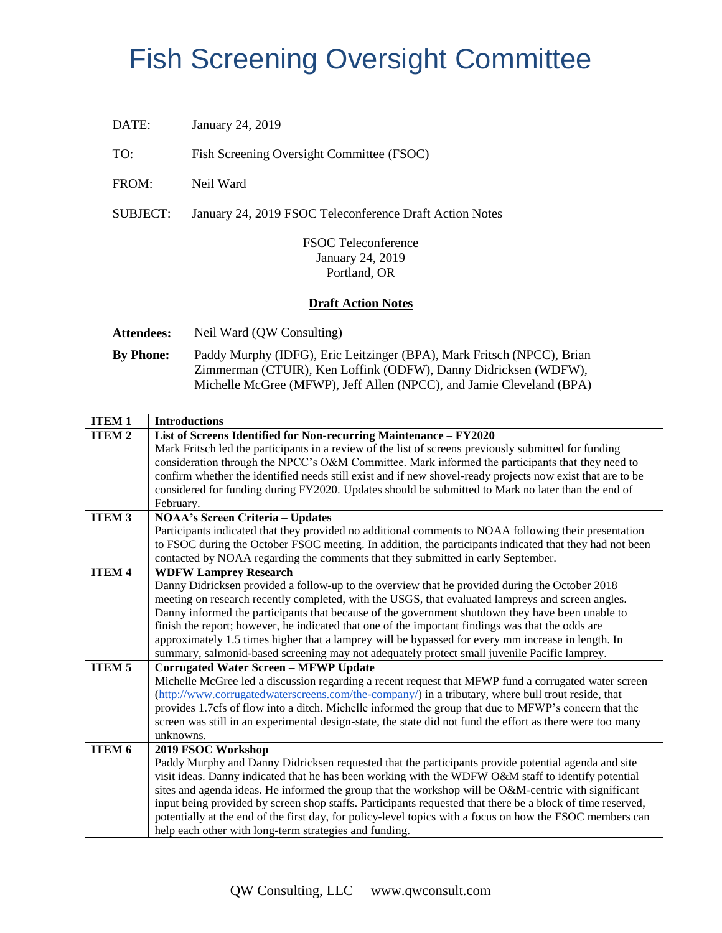## Fish Screening Oversight Committee

DATE: January 24, 2019

TO: Fish Screening Oversight Committee (FSOC)

FROM: Neil Ward

SUBJECT: January 24, 2019 FSOC Teleconference Draft Action Notes

FSOC Teleconference January 24, 2019 Portland, OR

## **Draft Action Notes**

**Attendees:** Neil Ward (QW Consulting)

**By Phone:** Paddy Murphy (IDFG), Eric Leitzinger (BPA), Mark Fritsch (NPCC), Brian Zimmerman (CTUIR), Ken Loffink (ODFW), Danny Didricksen (WDFW), Michelle McGree (MFWP), Jeff Allen (NPCC), and Jamie Cleveland (BPA)

| <b>ITEM1</b>      | <b>Introductions</b>                                                                                                                                                                                      |
|-------------------|-----------------------------------------------------------------------------------------------------------------------------------------------------------------------------------------------------------|
| <b>ITEM2</b>      | List of Screens Identified for Non-recurring Maintenance - FY2020                                                                                                                                         |
|                   | Mark Fritsch led the participants in a review of the list of screens previously submitted for funding<br>consideration through the NPCC's O&M Committee. Mark informed the participants that they need to |
|                   | confirm whether the identified needs still exist and if new shovel-ready projects now exist that are to be                                                                                                |
|                   | considered for funding during FY2020. Updates should be submitted to Mark no later than the end of                                                                                                        |
|                   | February.                                                                                                                                                                                                 |
| <b>ITEM 3</b>     | <b>NOAA's Screen Criteria - Updates</b>                                                                                                                                                                   |
|                   | Participants indicated that they provided no additional comments to NOAA following their presentation                                                                                                     |
|                   | to FSOC during the October FSOC meeting. In addition, the participants indicated that they had not been                                                                                                   |
|                   | contacted by NOAA regarding the comments that they submitted in early September.                                                                                                                          |
| <b>ITEM 4</b>     | <b>WDFW Lamprey Research</b>                                                                                                                                                                              |
|                   | Danny Didricksen provided a follow-up to the overview that he provided during the October 2018                                                                                                            |
|                   | meeting on research recently completed, with the USGS, that evaluated lampreys and screen angles.                                                                                                         |
|                   | Danny informed the participants that because of the government shutdown they have been unable to                                                                                                          |
|                   | finish the report; however, he indicated that one of the important findings was that the odds are                                                                                                         |
|                   | approximately 1.5 times higher that a lamprey will be bypassed for every mm increase in length. In<br>summary, salmonid-based screening may not adequately protect small juvenile Pacific lamprey.        |
| <b>ITEM 5</b>     | <b>Corrugated Water Screen - MFWP Update</b>                                                                                                                                                              |
|                   | Michelle McGree led a discussion regarding a recent request that MFWP fund a corrugated water screen                                                                                                      |
|                   | (http://www.corrugatedwaterscreens.com/the-company/) in a tributary, where bull trout reside, that                                                                                                        |
|                   | provides 1.7cfs of flow into a ditch. Michelle informed the group that due to MFWP's concern that the                                                                                                     |
|                   | screen was still in an experimental design-state, the state did not fund the effort as there were too many                                                                                                |
|                   | unknowns.                                                                                                                                                                                                 |
| ITEM <sub>6</sub> | 2019 FSOC Workshop                                                                                                                                                                                        |
|                   | Paddy Murphy and Danny Didricksen requested that the participants provide potential agenda and site                                                                                                       |
|                   | visit ideas. Danny indicated that he has been working with the WDFW O&M staff to identify potential                                                                                                       |
|                   | sites and agenda ideas. He informed the group that the workshop will be O&M-centric with significant                                                                                                      |
|                   | input being provided by screen shop staffs. Participants requested that there be a block of time reserved,                                                                                                |
|                   | potentially at the end of the first day, for policy-level topics with a focus on how the FSOC members can                                                                                                 |
|                   | help each other with long-term strategies and funding.                                                                                                                                                    |